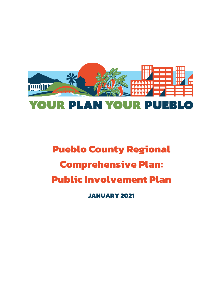

# **Pueblo County Regional Comprehensive Plan: Public Involvement Plan JANUARY 2021**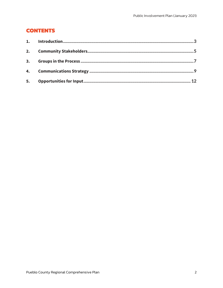# **CONTENTS**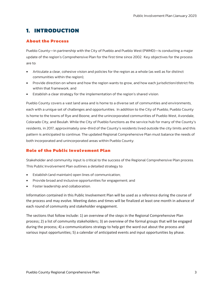# <span id="page-2-0"></span>**1. INTRODUCTION**

## **About the Process**

Pueblo County—in partnership with the City of Pueblo and Pueblo West (PWMD)—is conducting a major update of the region's Comprehensive Plan for the first time since 2002. Key objectives for the process are to:

- Articulate a clear, cohesive vision and policies for the region as a whole (as well as for distinct communities within the region);
- Provide direction on where and how the region wants to grow, and how each jurisdiction/district fits within that framework; and
- Establish a clear strategy for the implementation of the region's shared vision.

Pueblo County covers a vast land area and is home to a diverse set of communities and environments, each with a unique set of challenges and opportunities. In addition to the City of Pueblo, Pueblo County is home to the towns of Rye and Boone, and the unincorporated communities of Pueblo West, Avondale, Colorado City, and Beulah. While the City of Pueblo functions as the service hub for many of the County's residents, in 2017, approximately one-third of the County's residents lived outside the city limits and this pattern is anticipated to continue. The updated Regional Comprehensive Plan must balance the needs of both incorporated and unincorporated areas within Pueblo County.

## **Role of the Public Involvement Plan**

Stakeholder and community input is critical to the success of the Regional Comprehensive Plan process. This Public Involvement Plan outlines a detailed strategy to:

- Establish (and maintain) open lines of communication;
- Provide broad and inclusive opportunities for engagement; and
- Foster leadership and collaboration.

Information contained in this Public Involvement Plan will be used as a reference during the course of the process and may evolve. Meeting dates and times will be finalized at least one month in advance of each round of community and stakeholder engagement.

The sections that follow include: 1) an overview of the steps in the Regional Comprehensive Plan process; 2) a list of community stakeholders; 3) an overview of the formal groups that will be engaged during the process; 4) a communications strategy to help get the word out about the process and various input opportunities; 5) a calendar of anticipated events and input opportunities by phase.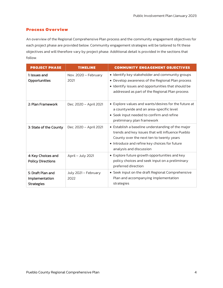## **Process Overview**

An overview of the Regional Comprehensive Plan process and the community engagement objectives for each project phase are provided below. Community engagement strategies will be tailored to fit these objectives and will therefore vary by project phase. Additional detail is provided in the sections that follow.

| <b>PROJECT PHASE</b>                                     | <b>TIMELINE</b>              | <b>COMMUNITY ENGAGEMENT OBJECTIVES</b>                                                                                                                                                                                        |
|----------------------------------------------------------|------------------------------|-------------------------------------------------------------------------------------------------------------------------------------------------------------------------------------------------------------------------------|
| 1: Issues and<br>Opportunities                           | Nov. 2020 - February<br>2021 | • Identify key stakeholder and community groups<br>Develop awareness of the Regional Plan process<br>$\bullet$<br>• Identify issues and opportunities that should be<br>addressed as part of the Regional Plan process        |
| 2: Plan Framework                                        | Dec. 2020 - April 2021       | • Explore values and wants/desires for the future at<br>a countywide and an area-specific level<br>• Seek input needed to confirm and refine<br>preliminary plan framework                                                    |
| 3: State of the County                                   | Dec. 2020 - April 2021       | • Establish a baseline understanding of the major<br>trends and key issues that will influence Pueblo<br>County over the next ten to twenty years<br>• Introduce and refine key choices for future<br>analysis and discussion |
| 4: Key Choices and<br><b>Policy Directions</b>           | April - July 2021            | • Explore future growth opportunities and key<br>policy choices and seek input on a preliminary<br>preferred direction                                                                                                        |
| 5: Draft Plan and<br>Implementation<br><b>Strategies</b> | July 2021 - February<br>2022 | • Seek input on the draft Regional Comprehensive<br>Plan and accompanying implementation<br>strategies                                                                                                                        |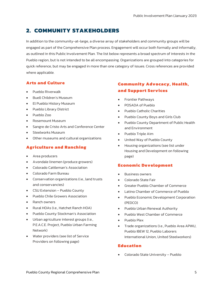# <span id="page-4-0"></span>**2. COMMUNITY STAKEHOLDERS**

In addition to the community-at-large, a diverse array of stakeholders and community groups will be engaged as part of the Comprehensive Plan process. Engagement will occur both formally and informally, as outlined in this Public Involvement Plan. The list below represents a broad spectrum of interests in the Pueblo region, but is not intended to be all encompassing. Organizations are grouped into categories for quick reference, but may be engaged in more than one category of issues. Cross references are provided where applicable.

## **Arts and Culture**

- Pueblo Riverwalk
- Buell Children's Museum
- El Pueblo History Museum
- Pueblo Library District
- Pueblo Zoo
- Rosemount Museum
- Sangre de Cristo Arts and Conference Center
- Steelworks Museum
- Other museums and cultural organizations

## **Agriculture and Ranching**

- Area producers
- Avondale linemen (produce growers)
- Colorado Cattleman's Association
- Colorado Farm Bureau
- Conservation organizations (i.e., land trusts and conservancies)
- CSU Extension Pueblo County
- Pueblo Chile Growers Association
- Ranch owners
- Rural HOAs (i.e., Hatchet Ranch HOA)
- Pueblo County Stockman's Association
- Urban agriculture interest groups (i.e., P.E.A.C.E. Project, Pueblo Urban Farming Network)
- Water providers (see list of Service Providers on following page)

## **Community Advocacy, Health, and Support Services**

- Frontier Pathways
- POSADA of Pueblo
- Pueblo Catholic Charities
- Pueblo County Boys and Girls Club
- Pueblo County Department of Public Health and Environment
- Pueblo Triple Aim
- United Way of Pueblo County
- Housing organizations (see list under Housing and Development on following page)

### **Economic Development**

- Business owners
- Colorado State Fair
- Greater Pueblo Chamber of Commerce
- Latino Chamber of Commerce of Pueblo
- Pueblo Economic Development Corporation (PEDCO)
- Pueblo Urban Renewal Authority
- Pueblo West Chamber of Commerce
- Pueblo Plex
- Trade organizations (i.e., Pueblo Area APWU, Pueblo IBEW 12, Pueblo Laborers International Union, United Steelworkers)

## **Education**

• Colorado State University – Pueblo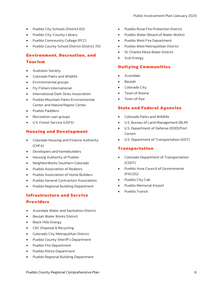- Pueblo City Schools (District 60)
- Pueblo City-County Library
- Pueblo Community College (PCC)
- Pueblo County School District (District 70)

# **Environment, Recreation, and**

## **Tourism**

- Audubon Society
- Colorado Parks and Wildlife
- Environmental groups
- Fly Fishers International
- International Dark Skies Association
- Pueblo Mountain Parks Environmental Center and Nature/Raptor Center
- Pueblo Paddlers
- Recreation user groups
- U.S. Forest Service (USFS)

## **Housing and Development**

- Colorado Housing and Finance Authority (CHFA)
- Developers and homebuilders
- Housing Authority of Pueblo
- NeighborWorks Southern Colorado
- Pueblo Association of Realtors
- Pueblo Association of Home Builders
- Pueblo General Contractors Association
- Pueblo Regional Building Department

## **Infrastructure and Service Providers**

- Avondale Water and Sanitation District
- Beulah Water Works District
- Black Hills Energy
- C&C Disposal & Recycling
- Colorado City Metropolitan District
- Pueblo County Sheriff's Department
- Pueblo Fire Department
- Pueblo Police Department
- Pueblo Regional Building Department
- Pueblo Rural Fire Protection District
- Pueblo Water (Board of Water Works)
- Pueblo West Fire Department
- Pueblo West Metropolitan District
- St. Charles Mesa Water District
- Xcel Energy

## **Outlying Communities**

- Avondale
- Beulah
- Colorado City
- Town of Boone
- Town of Rye

## **State and Federal Agencies**

- Colorado Parks and Wildlife
- U.S. Bureau of Land Management (BLM)
- U.S. Department of Defense (DOD)/Fort Carson
- U.S. Department of Transportation (DOT)

### **Transportation**

- Colorado Department of Transportation (CDOT)
- Pueblo Area Council of Governments (PACOG)
- Pueblo City Cab
- Pueblo Memorial Airport
- Pueblo Transit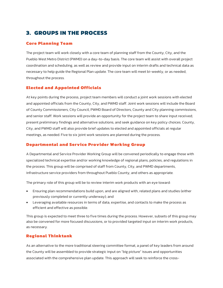## <span id="page-6-0"></span>**3. GROUPS IN THE PROCESS**

### **Core Planning Team**

The project team will work closely with a core team of planning staff from the County, City, and the Pueblo West Metro District (PWMD) on a day-to-day basis. The core team will assist with overall project coordination and scheduling, as well as review and provide input on interim drafts and technical data as necessary to help guide the Regional Plan update. The core team will meet bi-weekly, or as needed, throughout the process.

## **Elected and Appointed Officials**

At key points during the process, project team members will conduct a joint work sessions with elected and appointed officials from the County, City, and PWMD staff. Joint work sessions will include the Board of County Commissioners, City Council, PWMD Board of Directors, County and City planning commissions, and senior staff. Work sessions will provide an opportunity for the project team to share input received; present preliminary findings and alternative solutions; and seek guidance on key policy choices. County, City, and PWMD staff will also provide brief updates to elected and appointed officials at regular meetings, as needed. Five to six joint work sessions are planned during the process.

### **Departmental and Service Provider Working Group**

A Departmental and Service Provider Working Group will be convened periodically to engage those with specialized technical expertise and/or working knowledge of regional plans, policies, and regulations in the process. This group will be comprised of staff from County, City, and PWMD departments, infrastructure service providers from throughout Pueblo County, and others as appropriate.

The primary role of this group will be to review interim work products with an eye toward:

- Ensuring plan recommendations build upon, and are aligned with, related plans and studies (either previously completed or currently underway); and
- Leveraging available resources in terms of data, expertise, and contacts to make the process as efficient and effective as possible.

This group is expected to meet three to five times during the process. However, subsets of this group may also be convened for more focused discussions, or to provided targeted input on interim work products, as necessary.

### **Regional Thinktank**

As an alternative to the more traditional steering committee format, a panel of key leaders from around the County will be assembled to provide strategic input on "big picture" issues and opportunities associated with the comprehensive plan update. This approach will seek to reinforce the cross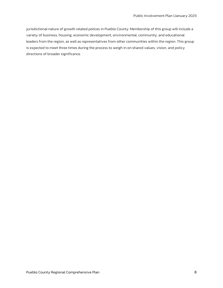jurisdictional nature of growth related polices in Pueblo County. Membership of this group will include a variety of business, housing, economic development, environmental, community, and educational leaders from the region, as well as representatives from other communities within the region. This group is expected to meet three times during the process to weigh in on shared values, vision, and policy directions of broader significance.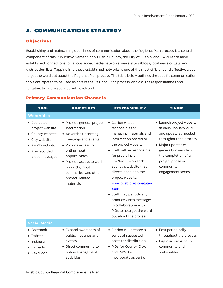# <span id="page-8-0"></span>**4. COMMUNICATIONS STRATEGY**

## **Objectives**

Establishing and maintaining open lines of communication about the Regional Plan process is a central component of this Public Involvement Plan. Pueblo County, the City of Pueblo, and PWMD each have established connections to various social media networks, newsletters/blogs, local news outlets, and distribution lists. Tapping into these established networks is one of the most efficient and effective ways to get the word out about the Regional Plan process. The table below outlines the specific communication tools anticipated to be used as part of the Regional Plan process, and assigns responsibilities and tentative timing associated with each tool.

| <b>TOOL</b>                                                                                                                | <b>OBJECTIVES</b>                                                                                                                                                                                                                                      | <b>RESPONSIBILITY</b>                                                                                                                                                                                                                                                                                                                                                                                                                 | <b>TIMING</b>                                                                                                                                                                                                                       |
|----------------------------------------------------------------------------------------------------------------------------|--------------------------------------------------------------------------------------------------------------------------------------------------------------------------------------------------------------------------------------------------------|---------------------------------------------------------------------------------------------------------------------------------------------------------------------------------------------------------------------------------------------------------------------------------------------------------------------------------------------------------------------------------------------------------------------------------------|-------------------------------------------------------------------------------------------------------------------------------------------------------------------------------------------------------------------------------------|
| <b>Web/Video</b>                                                                                                           |                                                                                                                                                                                                                                                        |                                                                                                                                                                                                                                                                                                                                                                                                                                       |                                                                                                                                                                                                                                     |
| • Dedicated<br>project website<br>• County website<br>• City website<br>• PWMD website<br>• Pre-recorded<br>video messages | • Provide general project<br>information<br>• Advertise upcoming<br>meetings and events<br>• Provide access to<br>online input<br>opportunities<br>• Provide access to work<br>products, input<br>summaries, and other<br>project-related<br>materials | • Clarion will be<br>responsible for<br>managing materials and<br>information posted to<br>the project website<br>• Staff will be responsible<br>for providing a<br>link/feature on each<br>agency's website that<br>directs people to the<br>project website:<br>www.puebloregionalplan<br>.com<br>• Staff may periodically<br>produce video messages<br>in collaboration with<br>PIOs to help get the word<br>out about the process | • Launch project website<br>in early January 2021<br>and update as needed<br>throughout the process<br>• Major updates will<br>generally coincide with<br>the completion of a<br>project phase or<br>community<br>engagement series |
| <b>Social Media</b>                                                                                                        |                                                                                                                                                                                                                                                        |                                                                                                                                                                                                                                                                                                                                                                                                                                       |                                                                                                                                                                                                                                     |
| $\bullet$ Facebook<br>• Twitter<br>· Instagram<br>• LinkedIn<br>• NextDoor                                                 | • Expand awareness of<br>public meetings and<br>events<br>• Direct community to<br>online engagement<br>activities                                                                                                                                     | • Clarion will prepare a<br>series of suggested<br>posts for distribution<br>• PIOs for County, City,<br>and PWMD will<br>incorporate as part of                                                                                                                                                                                                                                                                                      | • Post periodically<br>throughout the process<br>• Begin advertising for<br>community and<br>stakeholder                                                                                                                            |

## **Primary Communication Channels**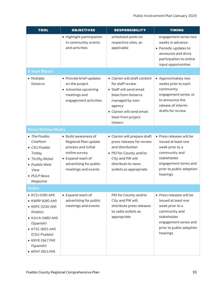| <b>TOOL</b>                                                                                                                                                                                  | <b>OBJECTIVES</b>                                                                                                                                          | <b>RESPONSIBILITY</b>                                                                                                                                                                          | <b>TIMING</b>                                                                                                                                                       |
|----------------------------------------------------------------------------------------------------------------------------------------------------------------------------------------------|------------------------------------------------------------------------------------------------------------------------------------------------------------|------------------------------------------------------------------------------------------------------------------------------------------------------------------------------------------------|---------------------------------------------------------------------------------------------------------------------------------------------------------------------|
|                                                                                                                                                                                              | • Highlight participation<br>in community events<br>and activities                                                                                         | scheduled posts on<br>respective sites, as<br>applicable                                                                                                                                       | engagement series two<br>weeks in advance<br>• Periodic updates to<br>announce and drive<br>participation to online<br>input opportunities                          |
| <b>E-mail Blasts</b>                                                                                                                                                                         |                                                                                                                                                            |                                                                                                                                                                                                |                                                                                                                                                                     |
| • Multiple<br>listservs                                                                                                                                                                      | • Provide brief updates<br>on the project<br>• Advertise upcoming<br>meetings and<br>engagement activities                                                 | • Clarion will draft content<br>for staff review<br>• Staff will send email<br>blast from listservs<br>managed by own<br>agency<br>• Clarion will send email<br>blast from project<br>listserv | • Approximately two<br>weeks prior to each<br>community<br>engagement series, or<br>to announce the<br>release of interim<br>drafts for review                      |
| <b>Print/Online Media</b>                                                                                                                                                                    |                                                                                                                                                            |                                                                                                                                                                                                |                                                                                                                                                                     |
| • The Pueblo<br>Chieftain<br>• CSU Pueblo<br>Today<br>· Thrifty Nickel<br>· Pueblo West<br>View<br>· PULP News<br>Magazine                                                                   | • Build awareness of<br>Regional Plan update<br>process and initial<br>online survey<br>• Expand reach of<br>advertising for public<br>meetings and events | • Clarion will prepare draft<br>press releases for review<br>and distribution<br>• PIO for County and/or<br>City and PW will<br>distribute to news<br>outlets as appropriate                   | • Press releases will be<br>issued at least one<br>week prior to a<br>community and<br>stakeholder<br>engagement series and<br>prior to public adoption<br>hearings |
| Radio                                                                                                                                                                                        |                                                                                                                                                            |                                                                                                                                                                                                |                                                                                                                                                                     |
| • KCSJ (590 AM)<br>• KWRP (690 AM)<br>• KKPC (1230 AM)<br>(Public)<br>• KAVA (1480 AM)<br>(Spanish)<br>• KTSC (89.5 AM)<br>(CSU-Pueblo)<br>• KRYE (94.7 FM)<br>(Spanish)<br>• KPHT (95.5 FM) | • Expand reach of<br>advertising for public<br>meetings and events                                                                                         | PIO for County and/or<br>City and PW will<br>distribute press releases<br>to radio outlets as<br>appropriate                                                                                   | • Press releases will be<br>issued at least one<br>week prior to a<br>community and<br>stakeholder<br>engagement series and<br>prior to public adoption<br>hearings |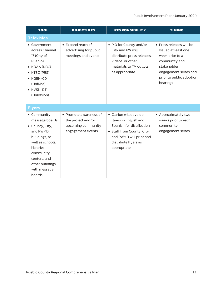| <b>TOOL</b>                                                                                                                                                                               | <b>OBJECTIVES</b>                                                                       | <b>RESPONSIBILITY</b>                                                                                                                                                       | <b>TIMING</b>                                                                                                                                                       |
|-------------------------------------------------------------------------------------------------------------------------------------------------------------------------------------------|-----------------------------------------------------------------------------------------|-----------------------------------------------------------------------------------------------------------------------------------------------------------------------------|---------------------------------------------------------------------------------------------------------------------------------------------------------------------|
| <b>Television</b>                                                                                                                                                                         |                                                                                         |                                                                                                                                                                             |                                                                                                                                                                     |
| • Government<br>access Channel<br>17 (City of<br>Pueblo)<br>$\bullet$ KOAA (NBC)<br>• KTSC (PBS)<br>$\bullet$ KGBH-CD<br>(UniMas)<br>• KVSN-DT<br>(Univision)                             | • Expand reach of<br>advertising for public<br>meetings and events                      | • PIO for County and/or<br>City and PW will<br>distribute press releases,<br>videos, or other<br>materials to TV outlets.<br>as appropriate                                 | • Press releases will be<br>issued at least one<br>week prior to a<br>community and<br>stakeholder<br>engagement series and<br>prior to public adoption<br>hearings |
| <b>Flyers</b>                                                                                                                                                                             |                                                                                         |                                                                                                                                                                             |                                                                                                                                                                     |
| • Community<br>message boards<br>• County, City,<br>and PWMD<br>buildings, as<br>well as schools,<br>libraries,<br>community<br>centers, and<br>other buildings<br>with message<br>boards | • Promote awareness of<br>the project and/or<br>upcoming community<br>engagement events | • Clarion will develop<br>flyers in English and<br>Spanish for distribution<br>• Staff from County, City,<br>and PWMD will print and<br>distribute flyers as<br>appropriate | • Approximately two<br>weeks prior to each<br>community<br>engagement series                                                                                        |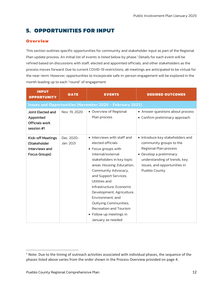# <span id="page-11-0"></span>**5. OPPORTUNITIES FOR INPUT**

## **Overview**

This section outlines specific opportunities for community and stakeholder input as part of the Regional Plan update process. An initial list of events is listed below by phase. [1](#page-11-1) Details for each event will be refined based on discussions with staff, elected and appointed officials, and other stakeholders as the process moves forward. Due to current COVID-19 restrictions, all meetings are anticipated to be virtual for the near-term. However, opportunities to incorporate safe in-person engagement will be explored in the month leading up to each "round" of engagement.

| <b>INPUT</b><br><b>OPPORTUNITY</b>                                    | <b>DATE</b>            | <b>EVENTS</b>                                                                                                                                                                                                                                                                                                                                                                                                   | <b>DESIRED OUTCOMES</b>                                                                                                                                                                          |
|-----------------------------------------------------------------------|------------------------|-----------------------------------------------------------------------------------------------------------------------------------------------------------------------------------------------------------------------------------------------------------------------------------------------------------------------------------------------------------------------------------------------------------------|--------------------------------------------------------------------------------------------------------------------------------------------------------------------------------------------------|
|                                                                       |                        | <b>Issues and Opportunities (November 2020 - February 2021)</b>                                                                                                                                                                                                                                                                                                                                                 |                                                                                                                                                                                                  |
| Joint Elected and<br>Appointed<br><b>Officials work</b><br>session #1 | Nov. 19, 2020          | • Overview of Regional<br>Plan process                                                                                                                                                                                                                                                                                                                                                                          | • Answer questions about process<br>• Confirm preliminary approach                                                                                                                               |
| Kick-off Meetings<br>(Stakeholder<br>interviews and<br>Focus Groups)  | Dec. 2020-<br>Jan 2021 | • Interviews with staff and<br>elected officials<br>• Focus groups with<br>internal/external<br>stakeholders in key topic<br>areas: Housing; Education,<br>Community Advocacy,<br>and Support Services;<br>Utilities and<br>Infrastructure: Economic<br>Development; Agriculture,<br>Environment, and<br><b>Outlying Communities;</b><br>Recreation and Tourism<br>• Follow up meetings in<br>January as needed | • Introduce key stakeholders and<br>community groups to the<br>Regional Plan process<br>• Develop a preliminary<br>understanding of trends, key<br>issues, and opportunities in<br>Pueblo County |

<span id="page-11-1"></span><sup>&</sup>lt;sup>1</sup> Note: Due to the timing of outreach activities associated with individual phases, the sequence of the phases listed above varies from the order shown in the Process Overview provided on page 4.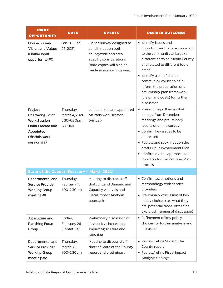| <b>INPUT</b><br><b>OPPORTUNITY</b>                                                                                                    | <b>DATE</b>                                          | <b>EVENTS</b>                                                                                                                                                     | <b>DESIRED OUTCOMES</b>                                                                                                                                                                                                                                                                                                                            |
|---------------------------------------------------------------------------------------------------------------------------------------|------------------------------------------------------|-------------------------------------------------------------------------------------------------------------------------------------------------------------------|----------------------------------------------------------------------------------------------------------------------------------------------------------------------------------------------------------------------------------------------------------------------------------------------------------------------------------------------------|
| <b>Online Survey:</b><br><b>Vision and Values</b><br>(Online input<br>opportunity #1)                                                 | Jan. 8 - Feb.<br>26, 2021                            | Online survey designed to<br>solicit input on both<br>countywide and area-<br>specific considerations<br>(hard copies will also be<br>made available, if desired) | • Identify issues and<br>opportunities that are important<br>to the community at large (in<br>different parts of Pueblo County,<br>and related to different topic<br>areas)<br>· Identify a set of shared<br>community values to help<br>inform the preparation of a<br>preliminary plan framework<br>(vision and goals) for further<br>discussion |
| Project<br><b>Chartering: Joint</b><br><b>Work Session</b><br>(Joint Elected and<br>Appointed<br><b>Officials work</b><br>session #2) | Thursday,<br>March 4, 2021,<br>5:30-6:30pm<br>(ZOOM) | Joint elected and appointed<br>officials work session<br>(virtual)                                                                                                | • Present major themes that<br>emerge from December<br>meetings and preliminary<br>results of online survey<br>• Confirm key issues to be<br>addressed<br>• Review and seek input on the<br>draft Public Involvement Plan<br>• Confirm overall approach and<br>priorities for the Regional Plan<br>process                                         |
| <b>State of the County (February - March 2021)</b>                                                                                    |                                                      |                                                                                                                                                                   |                                                                                                                                                                                                                                                                                                                                                    |
| Departmental and<br><b>Service Provider</b><br><b>Working Group</b><br>meeting #1                                                     | Thursday,<br>February 11,<br>1:00-2:30pm             | Meeting to discuss staff<br>draft of Land Demand and<br>Capacity Analysis and<br><b>Fiscal Impact Analysis</b><br>approach                                        | • Confirm assumptions and<br>methodology with service<br>providers<br>• Preliminary discussion of key<br>policy choices (i.e., what they<br>are, potential trade-offs to be<br>explored, framing of discussion)                                                                                                                                    |
| Agriculture and<br><b>Ranching Focus</b><br>Group                                                                                     | Friday,<br>February 26<br>(Tentative)                | Preliminary discussion of<br>key policy choices that<br>impact agriculture and<br>ranching                                                                        | • Refinement of key policy<br>choices for further analysis and<br>discussion                                                                                                                                                                                                                                                                       |
| Departmental and<br><b>Service Provider</b><br><b>Working Group</b><br>meeting #2                                                     | Thursday,<br>March 18,<br>1:00-2:30pm                | Meeting to discuss staff<br>draft of State of the County<br>report and preliminary                                                                                | • Review/refine State of the<br>County report<br>• Review/refine Fiscal Impact<br>Analysis findings                                                                                                                                                                                                                                                |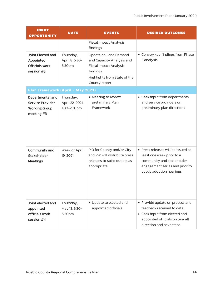| <b>INPUT</b><br><b>OPPORTUNITY</b>                                                | <b>DATE</b>                                 | <b>EVENTS</b>                                                                                                                                    | <b>DESIRED OUTCOMES</b>                                                                                                                                     |
|-----------------------------------------------------------------------------------|---------------------------------------------|--------------------------------------------------------------------------------------------------------------------------------------------------|-------------------------------------------------------------------------------------------------------------------------------------------------------------|
|                                                                                   |                                             | <b>Fiscal Impact Analysis</b><br>findings                                                                                                        |                                                                                                                                                             |
| <b>Joint Elected and</b><br>Appointed<br><b>Officials work</b><br>session #3      | Thursday,<br>April 8, 5:30-<br>6:30pm       | Update on Land Demand<br>and Capacity Analysis and<br><b>Fiscal Impact Analysis</b><br>findings<br>Highlights from State of the<br>County report | • Convey key findings from Phase<br>3 analysis                                                                                                              |
| Plan Framework (April - May 2021)                                                 |                                             |                                                                                                                                                  |                                                                                                                                                             |
| Departmental and<br><b>Service Provider</b><br><b>Working Group</b><br>meeting #3 | Thursday,<br>April 22, 2021,<br>1:00-2:30pm | • Meeting to review<br>preliminary Plan<br>Framework                                                                                             | • Seek input from departments<br>and service providers on<br>preliminary plan directions                                                                    |
| Community and<br><b>Stakeholder</b><br><b>Meetings</b>                            | Week of April<br>19, 2021                   | PIO for County and/or City<br>and PW will distribute press<br>releases to radio outlets as<br>appropriate                                        | • Press releases will be issued at<br>least one week prior to a<br>community and stakeholder<br>engagement series and prior to<br>public adoption hearings  |
| Joint elected and<br>appointed<br>officials work<br>session #4                    | Thursday, $-$<br>May 13, 5:30-<br>6:30pm    | • Update to elected and<br>appointed officials                                                                                                   | • Provide update on process and<br>feedback received to date<br>• Seek input from elected and<br>appointed officials on overall<br>direction and next steps |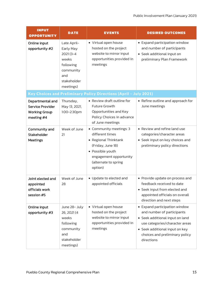| <b>INPUT</b><br><b>OPPORTUNITY</b>                                                | <b>DATE</b>                                                                                                     | <b>EVENTS</b>                                                                                                                                                            | <b>DESIRED OUTCOMES</b>                                                                                                                                                                                            |
|-----------------------------------------------------------------------------------|-----------------------------------------------------------------------------------------------------------------|--------------------------------------------------------------------------------------------------------------------------------------------------------------------------|--------------------------------------------------------------------------------------------------------------------------------------------------------------------------------------------------------------------|
| Online input<br>opportunity #2                                                    | Late April-<br>Early May<br>$2021(3 - 4)$<br>weeks<br>following<br>community<br>and<br>stakeholder<br>meetings) | • Virtual open house<br>hosted on the project<br>website to mirror input<br>opportunities provided in<br>meetings                                                        | • Expand participation window<br>and number of participants<br>• Seek additional input on<br>preliminary Plan Framework                                                                                            |
|                                                                                   |                                                                                                                 | Key Choices and Preliminary Policy Directions (April - July 2021)                                                                                                        |                                                                                                                                                                                                                    |
| Departmental and<br><b>Service Provider</b><br><b>Working Group</b><br>meeting #4 | Thursday,<br>May 13, 2021,<br>1:00-2:30pm                                                                       | • Review draft outline for<br>Future Growth<br>Opportunities and Key<br>Policy Choices in advance<br>of June meetings                                                    | • Refine outline and approach for<br>June meetings                                                                                                                                                                 |
| Community and<br>Stakeholder<br><b>Meetings</b>                                   | Week of June<br>21                                                                                              | • Community meetings: 3<br>different times<br>• Regional Thinktank<br>(Friday, June 18)<br>• Possible youth<br>engagement opportunity<br>(alternate to spring<br>option) | • Review and refine land use<br>categories/character areas<br>• Seek input on key choices and<br>preliminary policy directions                                                                                     |
| Joint elected and<br>appointed<br>officials work<br>session #5                    | Week of June<br>28                                                                                              | • Update to elected and<br>appointed officials                                                                                                                           | • Provide update on process and<br>feedback received to date<br>• Seek input from elected and<br>appointed officials on overall<br>direction and next steps                                                        |
| Online input<br>opportunity #3                                                    | June 28- July<br>26, 2021 (4<br>weeks<br>following<br>community<br>and<br>stakeholder<br>meetings)              | • Virtual open house<br>hosted on the project<br>website to mirror input<br>opportunities provided in<br>meetings                                                        | • Expand participation window<br>and number of participants<br>• Seek additional input on land<br>use categories/character areas<br>• Seek additional input on key<br>choices and preliminary policy<br>directions |